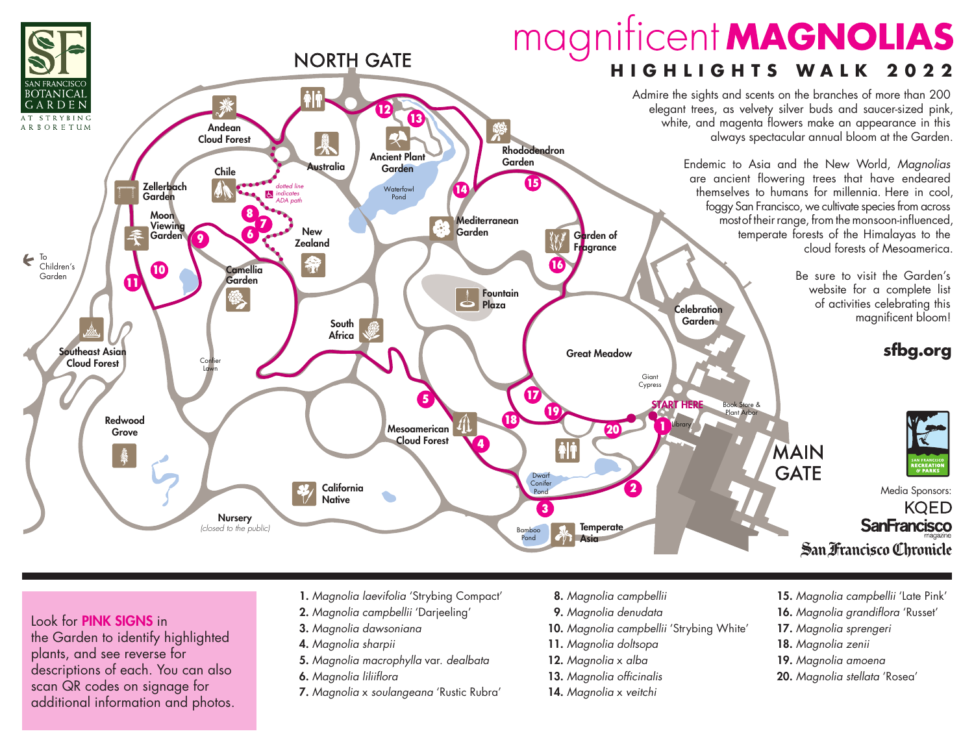

# Look for PINK SIGNS in

the Garden to identify highlighted plants, and see reverse for descriptions of each. You can also scan QR codes on signage for additional information and photos.

- 1. *Magnolia laevifolia* 'Strybing Compact'
- 2. *Magnolia campbellii* 'Darjeeling'
- 3. *Magnolia dawsoniana*
- 4. *Magnolia sharpii*
- 5. *Magnolia macrophylla* var. *dealbata*
- 6. *Magnolia liliiflora*
- 7. *Magnolia* x *soulangeana* 'Rustic Rubra'
- 8. *Magnolia campbellii*
- 9. *Magnolia denudata*
- 10. *Magnolia campbellii* 'Strybing White'
- 11. *Magnolia doltsopa*
- 12. *Magnolia* x *alba*
- 13. *Magnolia officinalis*
- 14. *Magnolia* x *veitchi*
- 15. *Magnolia campbellii* 'Late Pink'
- 16. *Magnolia grandiflora* 'Russet'
- 17. *Magnolia sprengeri*
- 18. *Magnolia zenii*
- 19. *Magnolia amoena*
- 20. *Magnolia stellata* 'Rosea'